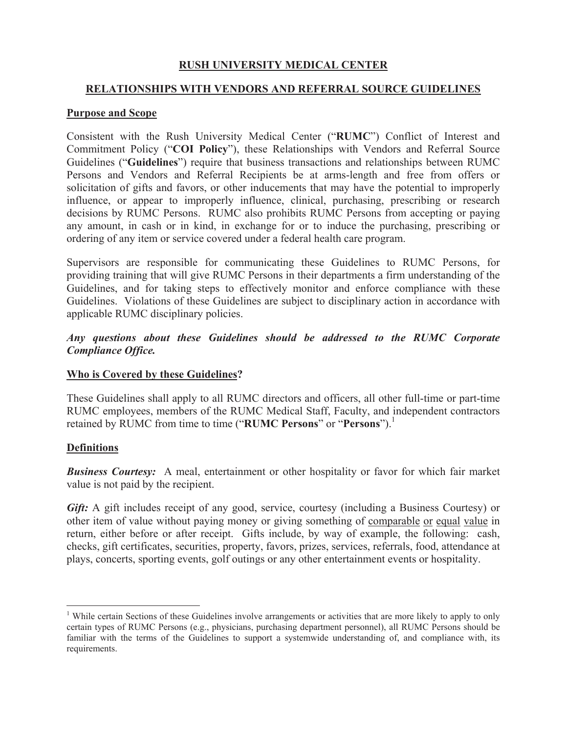# **RUSH UNIVERSITY MEDICAL CENTER**

## **RELATIONSHIPS WITH VENDORS AND REFERRAL SOURCE GUIDELINES**

#### **Purpose and Scope**

Consistent with the Rush University Medical Center ("**RUMC**") Conflict of Interest and Commitment Policy ("**COI Policy**"), these Relationships with Vendors and Referral Source Guidelines ("**Guidelines**") require that business transactions and relationships between RUMC Persons and Vendors and Referral Recipients be at arms-length and free from offers or solicitation of gifts and favors, or other inducements that may have the potential to improperly influence, or appear to improperly influence, clinical, purchasing, prescribing or research decisions by RUMC Persons. RUMC also prohibits RUMC Persons from accepting or paying any amount, in cash or in kind, in exchange for or to induce the purchasing, prescribing or ordering of any item or service covered under a federal health care program.

Supervisors are responsible for communicating these Guidelines to RUMC Persons, for providing training that will give RUMC Persons in their departments a firm understanding of the Guidelines, and for taking steps to effectively monitor and enforce compliance with these Guidelines. Violations of these Guidelines are subject to disciplinary action in accordance with applicable RUMC disciplinary policies.

## *Any questions about these Guidelines should be addressed to the RUMC Corporate Compliance Office.*

#### **Who is Covered by these Guidelines?**

These Guidelines shall apply to all RUMC directors and officers, all other full-time or part-time RUMC employees, members of the RUMC Medical Staff, Faculty, and independent contractors retained by RUMC from time to time ("RUMC Persons" or "Persons").<sup>1</sup>

#### **Definitions**

*Business Courtesy:* A meal, entertainment or other hospitality or favor for which fair market value is not paid by the recipient.

Gift: A gift includes receipt of any good, service, courtesy (including a Business Courtesy) or other item of value without paying money or giving something of comparable or equal value in return, either before or after receipt. Gifts include, by way of example, the following: cash, checks, gift certificates, securities, property, favors, prizes, services, referrals, food, attendance at plays, concerts, sporting events, golf outings or any other entertainment events or hospitality.

<sup>&</sup>lt;sup>1</sup> While certain Sections of these Guidelines involve arrangements or activities that are more likely to apply to only certain types of RUMC Persons (e.g., physicians, purchasing department personnel), all RUMC Persons should be familiar with the terms of the Guidelines to support a systemwide understanding of, and compliance with, its requirements.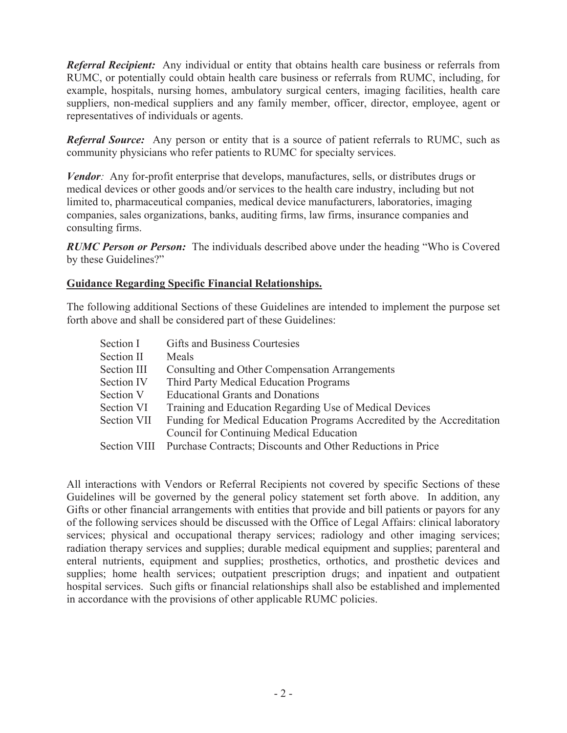*Referral Recipient:* Any individual or entity that obtains health care business or referrals from RUMC, or potentially could obtain health care business or referrals from RUMC, including, for example, hospitals, nursing homes, ambulatory surgical centers, imaging facilities, health care suppliers, non-medical suppliers and any family member, officer, director, employee, agent or representatives of individuals or agents.

*Referral Source:* Any person or entity that is a source of patient referrals to RUMC, such as community physicians who refer patients to RUMC for specialty services.

*Vendor:* Any for-profit enterprise that develops, manufactures, sells, or distributes drugs or medical devices or other goods and/or services to the health care industry, including but not limited to, pharmaceutical companies, medical device manufacturers, laboratories, imaging companies, sales organizations, banks, auditing firms, law firms, insurance companies and consulting firms.

*RUMC Person or Person:* The individuals described above under the heading "Who is Covered by these Guidelines?"

#### **Guidance Regarding Specific Financial Relationships.**

The following additional Sections of these Guidelines are intended to implement the purpose set forth above and shall be considered part of these Guidelines:

| Section I          | Gifts and Business Courtesies                                            |
|--------------------|--------------------------------------------------------------------------|
| <b>Section II</b>  | Meals                                                                    |
| Section III        | Consulting and Other Compensation Arrangements                           |
| <b>Section IV</b>  | Third Party Medical Education Programs                                   |
| <b>Section V</b>   | <b>Educational Grants and Donations</b>                                  |
| <b>Section VI</b>  | Training and Education Regarding Use of Medical Devices                  |
| <b>Section VII</b> | Funding for Medical Education Programs Accredited by the Accreditation   |
|                    | Council for Continuing Medical Education                                 |
|                    | Section VIII Purchase Contracts; Discounts and Other Reductions in Price |
|                    |                                                                          |

All interactions with Vendors or Referral Recipients not covered by specific Sections of these Guidelines will be governed by the general policy statement set forth above. In addition, any Gifts or other financial arrangements with entities that provide and bill patients or payors for any of the following services should be discussed with the Office of Legal Affairs: clinical laboratory services; physical and occupational therapy services; radiology and other imaging services; radiation therapy services and supplies; durable medical equipment and supplies; parenteral and enteral nutrients, equipment and supplies; prosthetics, orthotics, and prosthetic devices and supplies; home health services; outpatient prescription drugs; and inpatient and outpatient hospital services. Such gifts or financial relationships shall also be established and implemented in accordance with the provisions of other applicable RUMC policies.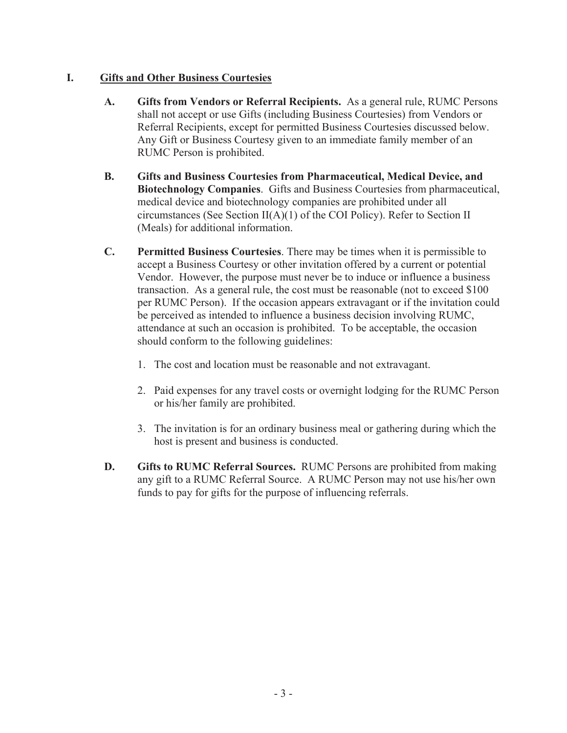# **I. Gifts and Other Business Courtesies**

- **A. Gifts from Vendors or Referral Recipients.** As a general rule, RUMC Persons shall not accept or use Gifts (including Business Courtesies) from Vendors or Referral Recipients, except for permitted Business Courtesies discussed below. Any Gift or Business Courtesy given to an immediate family member of an RUMC Person is prohibited.
- **B. Gifts and Business Courtesies from Pharmaceutical, Medical Device, and Biotechnology Companies**. Gifts and Business Courtesies from pharmaceutical, medical device and biotechnology companies are prohibited under all circumstances (See Section II(A)(1) of the COI Policy). Refer to Section II (Meals) for additional information.
- **C. Permitted Business Courtesies**. There may be times when it is permissible to accept a Business Courtesy or other invitation offered by a current or potential Vendor. However, the purpose must never be to induce or influence a business transaction. As a general rule, the cost must be reasonable (not to exceed \$100 per RUMC Person). If the occasion appears extravagant or if the invitation could be perceived as intended to influence a business decision involving RUMC, attendance at such an occasion is prohibited. To be acceptable, the occasion should conform to the following guidelines:
	- 1. The cost and location must be reasonable and not extravagant.
	- 2. Paid expenses for any travel costs or overnight lodging for the RUMC Person or his/her family are prohibited.
	- 3. The invitation is for an ordinary business meal or gathering during which the host is present and business is conducted.
- **D. Gifts to RUMC Referral Sources.** RUMC Persons are prohibited from making any gift to a RUMC Referral Source. A RUMC Person may not use his/her own funds to pay for gifts for the purpose of influencing referrals.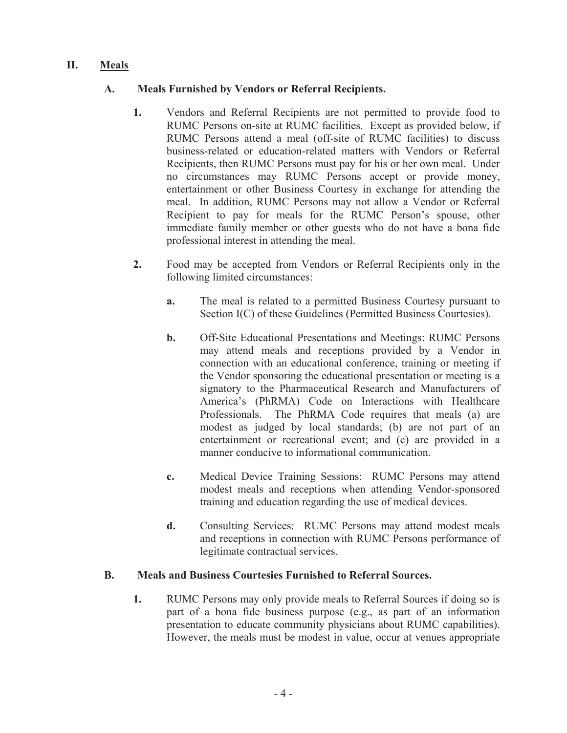# **II. Meals**

# **A. Meals Furnished by Vendors or Referral Recipients.**

- **1.** Vendors and Referral Recipients are not permitted to provide food to RUMC Persons on-site at RUMC facilities. Except as provided below, if RUMC Persons attend a meal (off-site of RUMC facilities) to discuss business-related or education-related matters with Vendors or Referral Recipients, then RUMC Persons must pay for his or her own meal. Under no circumstances may RUMC Persons accept or provide money, entertainment or other Business Courtesy in exchange for attending the meal. In addition, RUMC Persons may not allow a Vendor or Referral Recipient to pay for meals for the RUMC Person's spouse, other immediate family member or other guests who do not have a bona fide professional interest in attending the meal.
- **2.** Food may be accepted from Vendors or Referral Recipients only in the following limited circumstances:
	- **a.** The meal is related to a permitted Business Courtesy pursuant to Section I(C) of these Guidelines (Permitted Business Courtesies).
	- **b.** Off-Site Educational Presentations and Meetings: RUMC Persons may attend meals and receptions provided by a Vendor in connection with an educational conference, training or meeting if the Vendor sponsoring the educational presentation or meeting is a signatory to the Pharmaceutical Research and Manufacturers of America's (PhRMA) Code on Interactions with Healthcare Professionals. The PhRMA Code requires that meals (a) are modest as judged by local standards; (b) are not part of an entertainment or recreational event; and (c) are provided in a manner conducive to informational communication.
	- **c.** Medical Device Training Sessions: RUMC Persons may attend modest meals and receptions when attending Vendor-sponsored training and education regarding the use of medical devices.
	- **d.** Consulting Services: RUMC Persons may attend modest meals and receptions in connection with RUMC Persons performance of legitimate contractual services.

#### **B. Meals and Business Courtesies Furnished to Referral Sources.**

**1.** RUMC Persons may only provide meals to Referral Sources if doing so is part of a bona fide business purpose (e.g., as part of an information presentation to educate community physicians about RUMC capabilities). However, the meals must be modest in value, occur at venues appropriate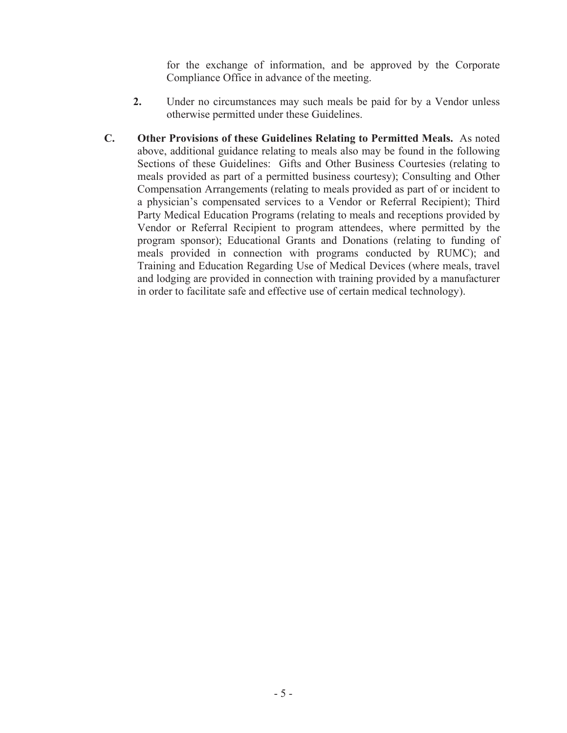for the exchange of information, and be approved by the Corporate Compliance Office in advance of the meeting.

- **2.** Under no circumstances may such meals be paid for by a Vendor unless otherwise permitted under these Guidelines.
- **C. Other Provisions of these Guidelines Relating to Permitted Meals.** As noted above, additional guidance relating to meals also may be found in the following Sections of these Guidelines: Gifts and Other Business Courtesies (relating to meals provided as part of a permitted business courtesy); Consulting and Other Compensation Arrangements (relating to meals provided as part of or incident to a physician's compensated services to a Vendor or Referral Recipient); Third Party Medical Education Programs (relating to meals and receptions provided by Vendor or Referral Recipient to program attendees, where permitted by the program sponsor); Educational Grants and Donations (relating to funding of meals provided in connection with programs conducted by RUMC); and Training and Education Regarding Use of Medical Devices (where meals, travel and lodging are provided in connection with training provided by a manufacturer in order to facilitate safe and effective use of certain medical technology).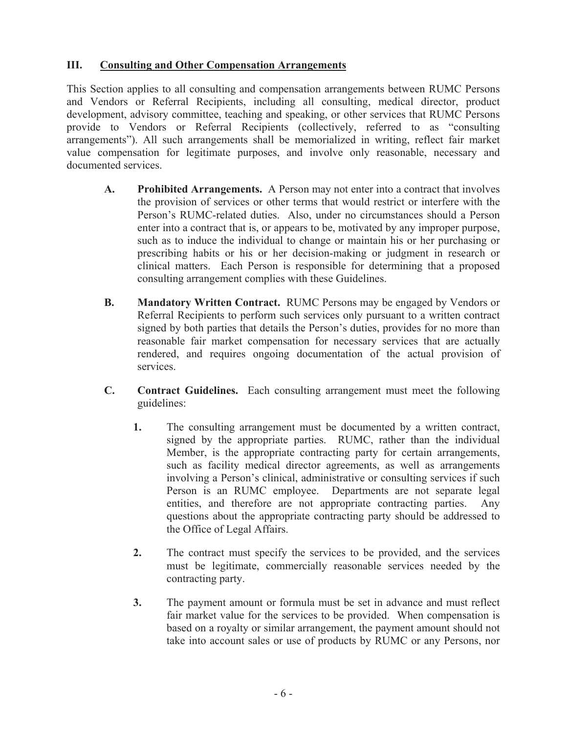## **III. Consulting and Other Compensation Arrangements**

This Section applies to all consulting and compensation arrangements between RUMC Persons and Vendors or Referral Recipients, including all consulting, medical director, product development, advisory committee, teaching and speaking, or other services that RUMC Persons provide to Vendors or Referral Recipients (collectively, referred to as "consulting arrangements"). All such arrangements shall be memorialized in writing, reflect fair market value compensation for legitimate purposes, and involve only reasonable, necessary and documented services.

- **A. Prohibited Arrangements.** A Person may not enter into a contract that involves the provision of services or other terms that would restrict or interfere with the Person's RUMC-related duties. Also, under no circumstances should a Person enter into a contract that is, or appears to be, motivated by any improper purpose, such as to induce the individual to change or maintain his or her purchasing or prescribing habits or his or her decision-making or judgment in research or clinical matters. Each Person is responsible for determining that a proposed consulting arrangement complies with these Guidelines.
- **B. Mandatory Written Contract.** RUMC Persons may be engaged by Vendors or Referral Recipients to perform such services only pursuant to a written contract signed by both parties that details the Person's duties, provides for no more than reasonable fair market compensation for necessary services that are actually rendered, and requires ongoing documentation of the actual provision of services.
- **C. Contract Guidelines.** Each consulting arrangement must meet the following guidelines:
	- **1.** The consulting arrangement must be documented by a written contract, signed by the appropriate parties. RUMC, rather than the individual Member, is the appropriate contracting party for certain arrangements, such as facility medical director agreements, as well as arrangements involving a Person's clinical, administrative or consulting services if such Person is an RUMC employee. Departments are not separate legal entities, and therefore are not appropriate contracting parties. Any questions about the appropriate contracting party should be addressed to the Office of Legal Affairs.
	- **2.** The contract must specify the services to be provided, and the services must be legitimate, commercially reasonable services needed by the contracting party.
	- **3.** The payment amount or formula must be set in advance and must reflect fair market value for the services to be provided. When compensation is based on a royalty or similar arrangement, the payment amount should not take into account sales or use of products by RUMC or any Persons, nor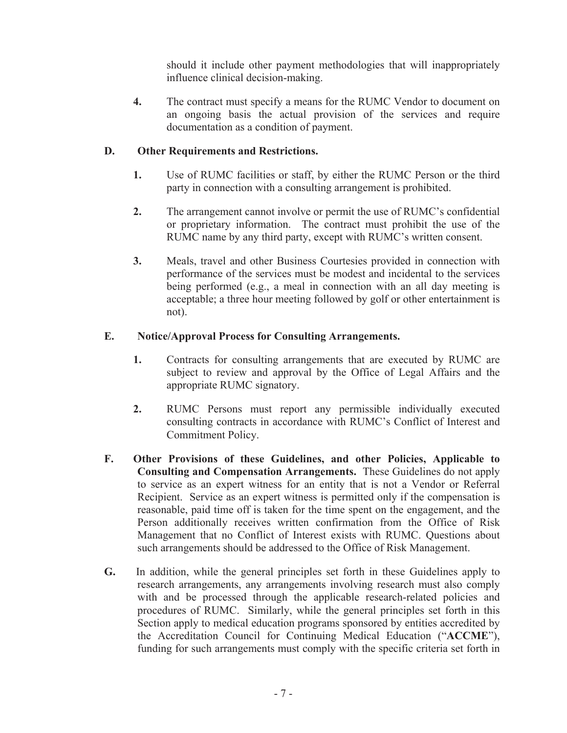should it include other payment methodologies that will inappropriately influence clinical decision-making.

**4.** The contract must specify a means for the RUMC Vendor to document on an ongoing basis the actual provision of the services and require documentation as a condition of payment.

# **D. Other Requirements and Restrictions.**

- **1.** Use of RUMC facilities or staff, by either the RUMC Person or the third party in connection with a consulting arrangement is prohibited.
- **2.** The arrangement cannot involve or permit the use of RUMC's confidential or proprietary information. The contract must prohibit the use of the RUMC name by any third party, except with RUMC's written consent.
- **3.** Meals, travel and other Business Courtesies provided in connection with performance of the services must be modest and incidental to the services being performed (e.g., a meal in connection with an all day meeting is acceptable; a three hour meeting followed by golf or other entertainment is not).

# **E. Notice/Approval Process for Consulting Arrangements.**

- **1.** Contracts for consulting arrangements that are executed by RUMC are subject to review and approval by the Office of Legal Affairs and the appropriate RUMC signatory.
- **2.** RUMC Persons must report any permissible individually executed consulting contracts in accordance with RUMC's Conflict of Interest and Commitment Policy.
- **F. Other Provisions of these Guidelines, and other Policies, Applicable to Consulting and Compensation Arrangements.** These Guidelines do not apply to service as an expert witness for an entity that is not a Vendor or Referral Recipient. Service as an expert witness is permitted only if the compensation is reasonable, paid time off is taken for the time spent on the engagement, and the Person additionally receives written confirmation from the Office of Risk Management that no Conflict of Interest exists with RUMC. Questions about such arrangements should be addressed to the Office of Risk Management.
- **G.** In addition, while the general principles set forth in these Guidelines apply to research arrangements, any arrangements involving research must also comply with and be processed through the applicable research-related policies and procedures of RUMC. Similarly, while the general principles set forth in this Section apply to medical education programs sponsored by entities accredited by the Accreditation Council for Continuing Medical Education ("**ACCME**"), funding for such arrangements must comply with the specific criteria set forth in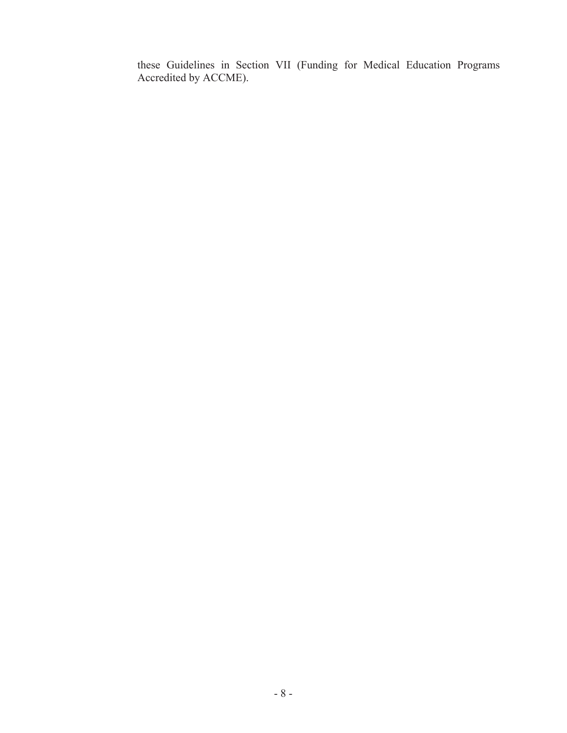these Guidelines in Section VII (Funding for Medical Education Programs Accredited by ACCME).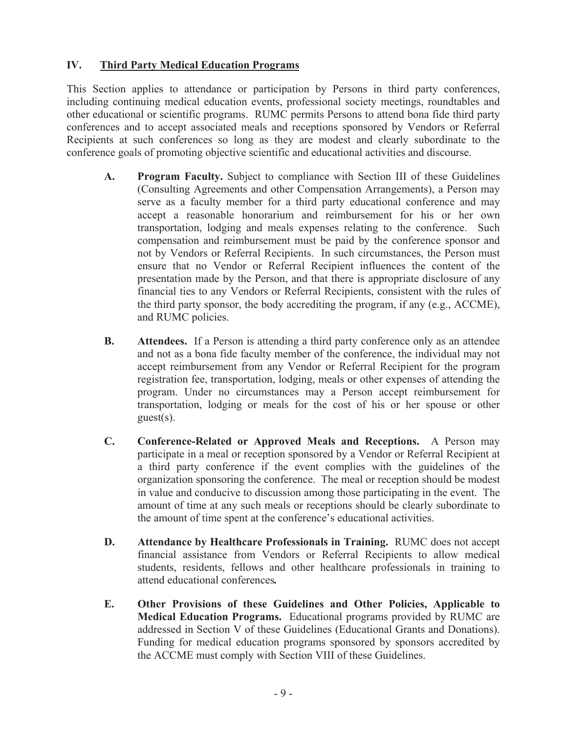# **IV. Third Party Medical Education Programs**

This Section applies to attendance or participation by Persons in third party conferences, including continuing medical education events, professional society meetings, roundtables and other educational or scientific programs. RUMC permits Persons to attend bona fide third party conferences and to accept associated meals and receptions sponsored by Vendors or Referral Recipients at such conferences so long as they are modest and clearly subordinate to the conference goals of promoting objective scientific and educational activities and discourse.

- **A. Program Faculty.** Subject to compliance with Section III of these Guidelines (Consulting Agreements and other Compensation Arrangements), a Person may serve as a faculty member for a third party educational conference and may accept a reasonable honorarium and reimbursement for his or her own transportation, lodging and meals expenses relating to the conference. Such compensation and reimbursement must be paid by the conference sponsor and not by Vendors or Referral Recipients. In such circumstances, the Person must ensure that no Vendor or Referral Recipient influences the content of the presentation made by the Person, and that there is appropriate disclosure of any financial ties to any Vendors or Referral Recipients, consistent with the rules of the third party sponsor, the body accrediting the program, if any (e.g., ACCME), and RUMC policies.
- **B.** Attendees. If a Person is attending a third party conference only as an attendee and not as a bona fide faculty member of the conference, the individual may not accept reimbursement from any Vendor or Referral Recipient for the program registration fee, transportation, lodging, meals or other expenses of attending the program. Under no circumstances may a Person accept reimbursement for transportation, lodging or meals for the cost of his or her spouse or other guest(s).
- **C. Conference-Related or Approved Meals and Receptions.** A Person may participate in a meal or reception sponsored by a Vendor or Referral Recipient at a third party conference if the event complies with the guidelines of the organization sponsoring the conference. The meal or reception should be modest in value and conducive to discussion among those participating in the event. The amount of time at any such meals or receptions should be clearly subordinate to the amount of time spent at the conference's educational activities.
- **D. Attendance by Healthcare Professionals in Training.** RUMC does not accept financial assistance from Vendors or Referral Recipients to allow medical students, residents, fellows and other healthcare professionals in training to attend educational conferences*.*
- **E. Other Provisions of these Guidelines and Other Policies, Applicable to Medical Education Programs.** Educational programs provided by RUMC are addressed in Section V of these Guidelines (Educational Grants and Donations). Funding for medical education programs sponsored by sponsors accredited by the ACCME must comply with Section VIII of these Guidelines.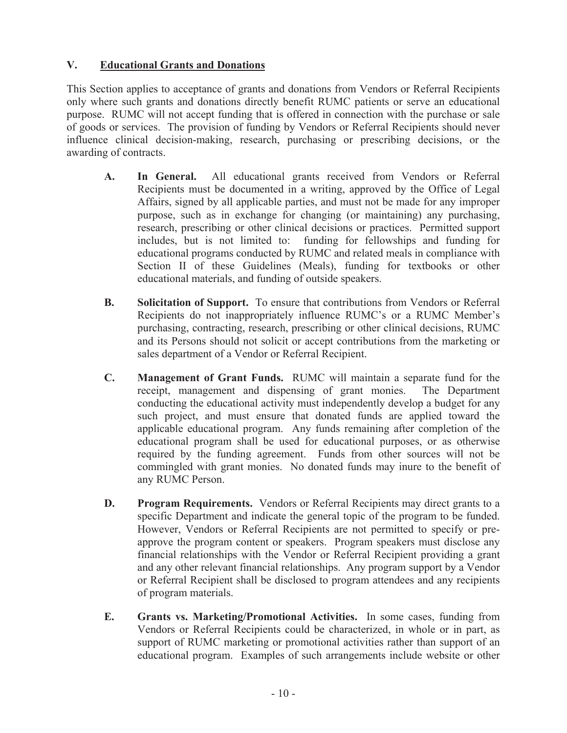# **V. Educational Grants and Donations**

This Section applies to acceptance of grants and donations from Vendors or Referral Recipients only where such grants and donations directly benefit RUMC patients or serve an educational purpose. RUMC will not accept funding that is offered in connection with the purchase or sale of goods or services. The provision of funding by Vendors or Referral Recipients should never influence clinical decision-making, research, purchasing or prescribing decisions, or the awarding of contracts.

- **A. In General.** All educational grants received from Vendors or Referral Recipients must be documented in a writing, approved by the Office of Legal Affairs, signed by all applicable parties, and must not be made for any improper purpose, such as in exchange for changing (or maintaining) any purchasing, research, prescribing or other clinical decisions or practices. Permitted support includes, but is not limited to: funding for fellowships and funding for educational programs conducted by RUMC and related meals in compliance with Section II of these Guidelines (Meals), funding for textbooks or other educational materials, and funding of outside speakers.
- **B. Solicitation of Support.** To ensure that contributions from Vendors or Referral Recipients do not inappropriately influence RUMC's or a RUMC Member's purchasing, contracting, research, prescribing or other clinical decisions, RUMC and its Persons should not solicit or accept contributions from the marketing or sales department of a Vendor or Referral Recipient.
- **C. Management of Grant Funds.** RUMC will maintain a separate fund for the receipt, management and dispensing of grant monies. The Department conducting the educational activity must independently develop a budget for any such project, and must ensure that donated funds are applied toward the applicable educational program. Any funds remaining after completion of the educational program shall be used for educational purposes, or as otherwise required by the funding agreement. Funds from other sources will not be commingled with grant monies. No donated funds may inure to the benefit of any RUMC Person.
- **D. Program Requirements.** Vendors or Referral Recipients may direct grants to a specific Department and indicate the general topic of the program to be funded. However, Vendors or Referral Recipients are not permitted to specify or preapprove the program content or speakers. Program speakers must disclose any financial relationships with the Vendor or Referral Recipient providing a grant and any other relevant financial relationships. Any program support by a Vendor or Referral Recipient shall be disclosed to program attendees and any recipients of program materials.
- **E. Grants vs. Marketing/Promotional Activities.** In some cases, funding from Vendors or Referral Recipients could be characterized, in whole or in part, as support of RUMC marketing or promotional activities rather than support of an educational program. Examples of such arrangements include website or other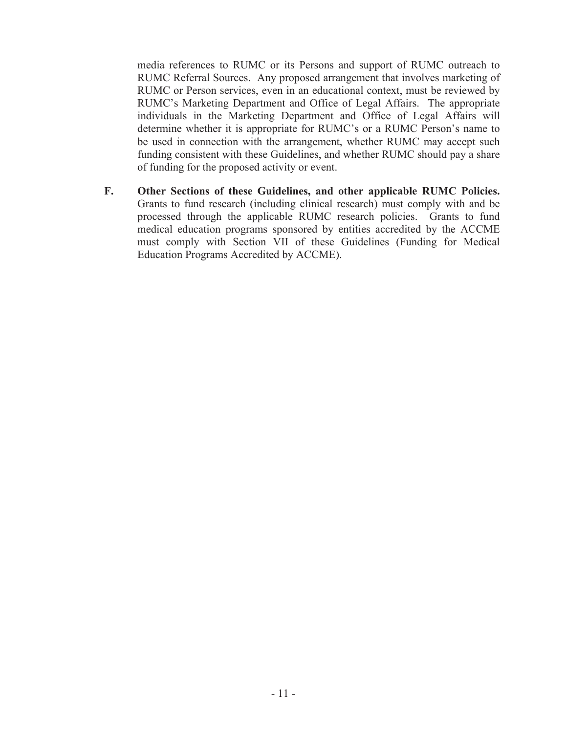media references to RUMC or its Persons and support of RUMC outreach to RUMC Referral Sources. Any proposed arrangement that involves marketing of RUMC or Person services, even in an educational context, must be reviewed by RUMC's Marketing Department and Office of Legal Affairs. The appropriate individuals in the Marketing Department and Office of Legal Affairs will determine whether it is appropriate for RUMC's or a RUMC Person's name to be used in connection with the arrangement, whether RUMC may accept such funding consistent with these Guidelines, and whether RUMC should pay a share of funding for the proposed activity or event.

**F. Other Sections of these Guidelines, and other applicable RUMC Policies.**  Grants to fund research (including clinical research) must comply with and be processed through the applicable RUMC research policies. Grants to fund medical education programs sponsored by entities accredited by the ACCME must comply with Section VII of these Guidelines (Funding for Medical Education Programs Accredited by ACCME).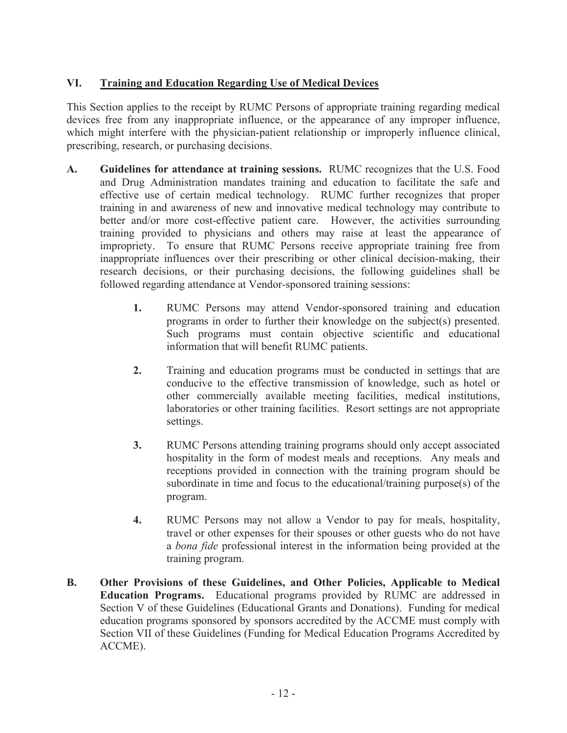# **VI. Training and Education Regarding Use of Medical Devices**

This Section applies to the receipt by RUMC Persons of appropriate training regarding medical devices free from any inappropriate influence, or the appearance of any improper influence, which might interfere with the physician-patient relationship or improperly influence clinical, prescribing, research, or purchasing decisions.

- **A. Guidelines for attendance at training sessions.** RUMC recognizes that the U.S. Food and Drug Administration mandates training and education to facilitate the safe and effective use of certain medical technology. RUMC further recognizes that proper training in and awareness of new and innovative medical technology may contribute to better and/or more cost-effective patient care. However, the activities surrounding training provided to physicians and others may raise at least the appearance of impropriety. To ensure that RUMC Persons receive appropriate training free from inappropriate influences over their prescribing or other clinical decision-making, their research decisions, or their purchasing decisions, the following guidelines shall be followed regarding attendance at Vendor-sponsored training sessions:
	- **1.** RUMC Persons may attend Vendor-sponsored training and education programs in order to further their knowledge on the subject(s) presented. Such programs must contain objective scientific and educational information that will benefit RUMC patients.
	- **2.** Training and education programs must be conducted in settings that are conducive to the effective transmission of knowledge, such as hotel or other commercially available meeting facilities, medical institutions, laboratories or other training facilities. Resort settings are not appropriate settings.
	- **3.** RUMC Persons attending training programs should only accept associated hospitality in the form of modest meals and receptions. Any meals and receptions provided in connection with the training program should be subordinate in time and focus to the educational/training purpose(s) of the program.
	- **4.** RUMC Persons may not allow a Vendor to pay for meals, hospitality, travel or other expenses for their spouses or other guests who do not have a *bona fide* professional interest in the information being provided at the training program.
- **B. Other Provisions of these Guidelines, and Other Policies, Applicable to Medical Education Programs.** Educational programs provided by RUMC are addressed in Section V of these Guidelines (Educational Grants and Donations). Funding for medical education programs sponsored by sponsors accredited by the ACCME must comply with Section VII of these Guidelines (Funding for Medical Education Programs Accredited by ACCME).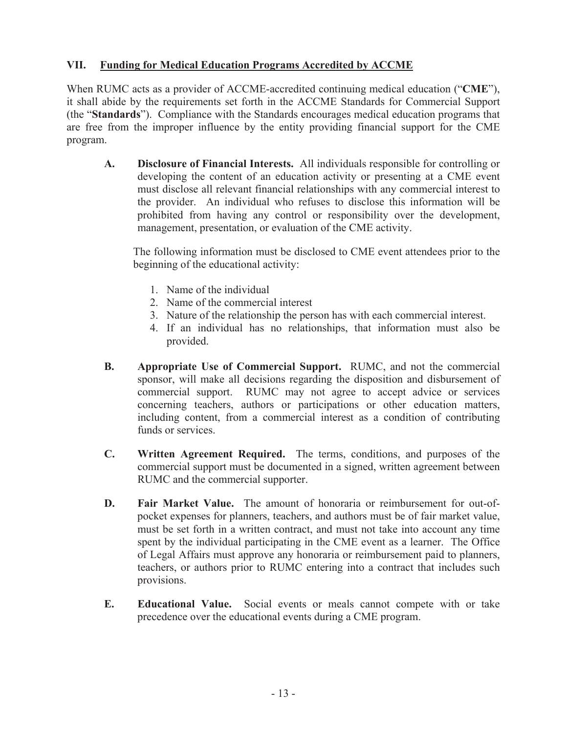# **VII. Funding for Medical Education Programs Accredited by ACCME**

When RUMC acts as a provider of ACCME-accredited continuing medical education ("**CME**"), it shall abide by the requirements set forth in the ACCME Standards for Commercial Support (the "**Standards**"). Compliance with the Standards encourages medical education programs that are free from the improper influence by the entity providing financial support for the CME program.

**A. Disclosure of Financial Interests.** All individuals responsible for controlling or developing the content of an education activity or presenting at a CME event must disclose all relevant financial relationships with any commercial interest to the provider. An individual who refuses to disclose this information will be prohibited from having any control or responsibility over the development, management, presentation, or evaluation of the CME activity.

The following information must be disclosed to CME event attendees prior to the beginning of the educational activity:

- 1. Name of the individual
- 2. Name of the commercial interest
- 3. Nature of the relationship the person has with each commercial interest.
- 4. If an individual has no relationships, that information must also be provided.
- **B. Appropriate Use of Commercial Support.** RUMC, and not the commercial sponsor, will make all decisions regarding the disposition and disbursement of commercial support. RUMC may not agree to accept advice or services concerning teachers, authors or participations or other education matters, including content, from a commercial interest as a condition of contributing funds or services
- **C. Written Agreement Required.** The terms, conditions, and purposes of the commercial support must be documented in a signed, written agreement between RUMC and the commercial supporter.
- **D. Fair Market Value.** The amount of honoraria or reimbursement for out-ofpocket expenses for planners, teachers, and authors must be of fair market value, must be set forth in a written contract, and must not take into account any time spent by the individual participating in the CME event as a learner. The Office of Legal Affairs must approve any honoraria or reimbursement paid to planners, teachers, or authors prior to RUMC entering into a contract that includes such provisions.
- **E. Educational Value.** Social events or meals cannot compete with or take precedence over the educational events during a CME program.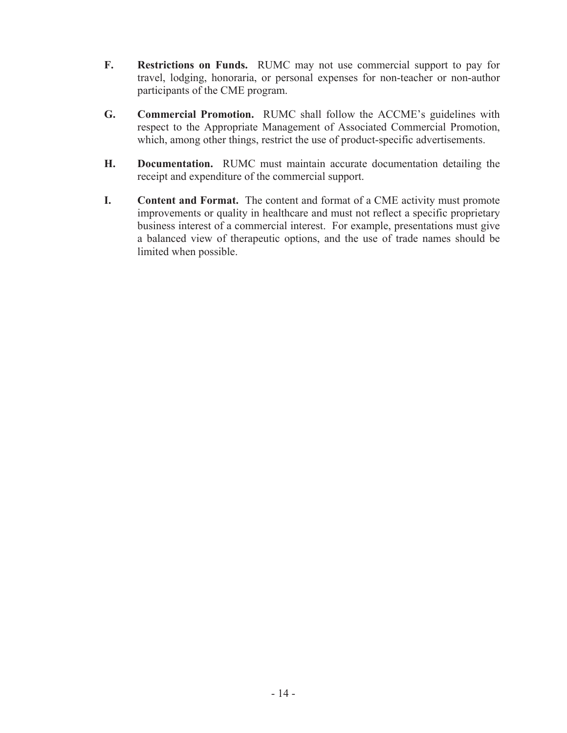- **F. Restrictions on Funds.** RUMC may not use commercial support to pay for travel, lodging, honoraria, or personal expenses for non-teacher or non-author participants of the CME program.
- **G. Commercial Promotion.** RUMC shall follow the ACCME's guidelines with respect to the Appropriate Management of Associated Commercial Promotion, which, among other things, restrict the use of product-specific advertisements.
- **H. Documentation.** RUMC must maintain accurate documentation detailing the receipt and expenditure of the commercial support.
- **I. Content and Format.** The content and format of a CME activity must promote improvements or quality in healthcare and must not reflect a specific proprietary business interest of a commercial interest. For example, presentations must give a balanced view of therapeutic options, and the use of trade names should be limited when possible.